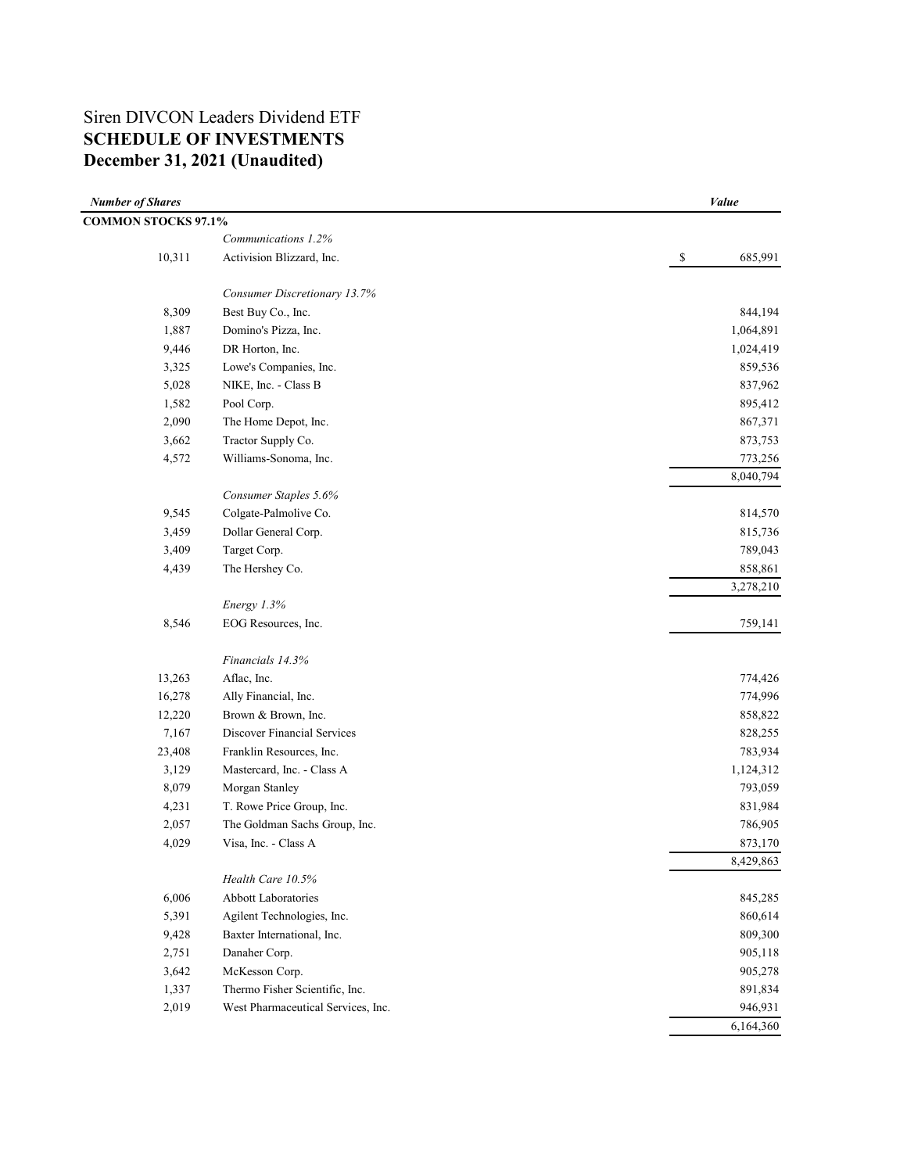## Siren DIVCON Leaders Dividend ETF **SCHEDULE OF INVESTMENTS December 31, 2021 (Unaudited)**

| <b>Number of Shares</b>    |                                                          | Value                   |
|----------------------------|----------------------------------------------------------|-------------------------|
| <b>COMMON STOCKS 97.1%</b> |                                                          |                         |
|                            | Communications 1.2%                                      |                         |
| 10,311                     | Activision Blizzard, Inc.                                | 685,991<br>$\mathbb{S}$ |
|                            | Consumer Discretionary 13.7%                             |                         |
| 8,309                      | Best Buy Co., Inc.                                       | 844,194                 |
| 1,887                      | Domino's Pizza, Inc.                                     | 1,064,891               |
| 9,446                      | DR Horton, Inc.                                          | 1,024,419               |
| 3,325                      | Lowe's Companies, Inc.                                   | 859,536                 |
| 5,028                      | NIKE, Inc. - Class B                                     | 837,962                 |
| 1,582                      | Pool Corp.                                               | 895,412                 |
| 2,090                      | The Home Depot, Inc.                                     | 867,371                 |
| 3,662                      | Tractor Supply Co.                                       | 873,753                 |
| 4,572                      | Williams-Sonoma, Inc.                                    | 773,256                 |
|                            |                                                          | 8,040,794               |
|                            | Consumer Staples 5.6%                                    |                         |
| 9,545                      | Colgate-Palmolive Co.                                    | 814,570                 |
| 3,459                      | Dollar General Corp.                                     | 815,736                 |
| 3,409                      | Target Corp.                                             | 789,043                 |
| 4,439                      | The Hershey Co.                                          | 858,861                 |
|                            |                                                          | 3,278,210               |
|                            | Energy 1.3%                                              |                         |
| 8,546                      | EOG Resources, Inc.                                      | 759,141                 |
|                            | Financials 14.3%                                         |                         |
| 13,263                     | Aflac, Inc.                                              | 774,426                 |
| 16,278                     | Ally Financial, Inc.                                     | 774,996                 |
| 12,220                     | Brown & Brown, Inc.                                      | 858,822                 |
| 7,167                      | Discover Financial Services                              | 828,255                 |
| 23,408                     | Franklin Resources, Inc.                                 | 783,934                 |
| 3,129                      | Mastercard, Inc. - Class A                               | 1,124,312               |
| 8,079                      | Morgan Stanley                                           | 793,059                 |
| 4,231                      | T. Rowe Price Group, Inc.                                | 831,984                 |
| 2,057                      | The Goldman Sachs Group, Inc.                            | 786,905                 |
| 4,029                      | Visa, Inc. - Class A                                     | 873,170                 |
|                            |                                                          | 8,429,863               |
|                            | Health Care 10.5%                                        |                         |
| 6,006                      | <b>Abbott Laboratories</b>                               | 845,285                 |
| 5,391                      | Agilent Technologies, Inc.<br>Baxter International, Inc. | 860,614<br>809,300      |
| 9,428                      | Danaher Corp.                                            |                         |
| 2,751                      |                                                          | 905,118                 |
| 3,642<br>1,337             | McKesson Corp.<br>Thermo Fisher Scientific, Inc.         | 905,278<br>891,834      |
| 2,019                      | West Pharmaceutical Services, Inc.                       | 946,931                 |
|                            |                                                          | 6,164,360               |
|                            |                                                          |                         |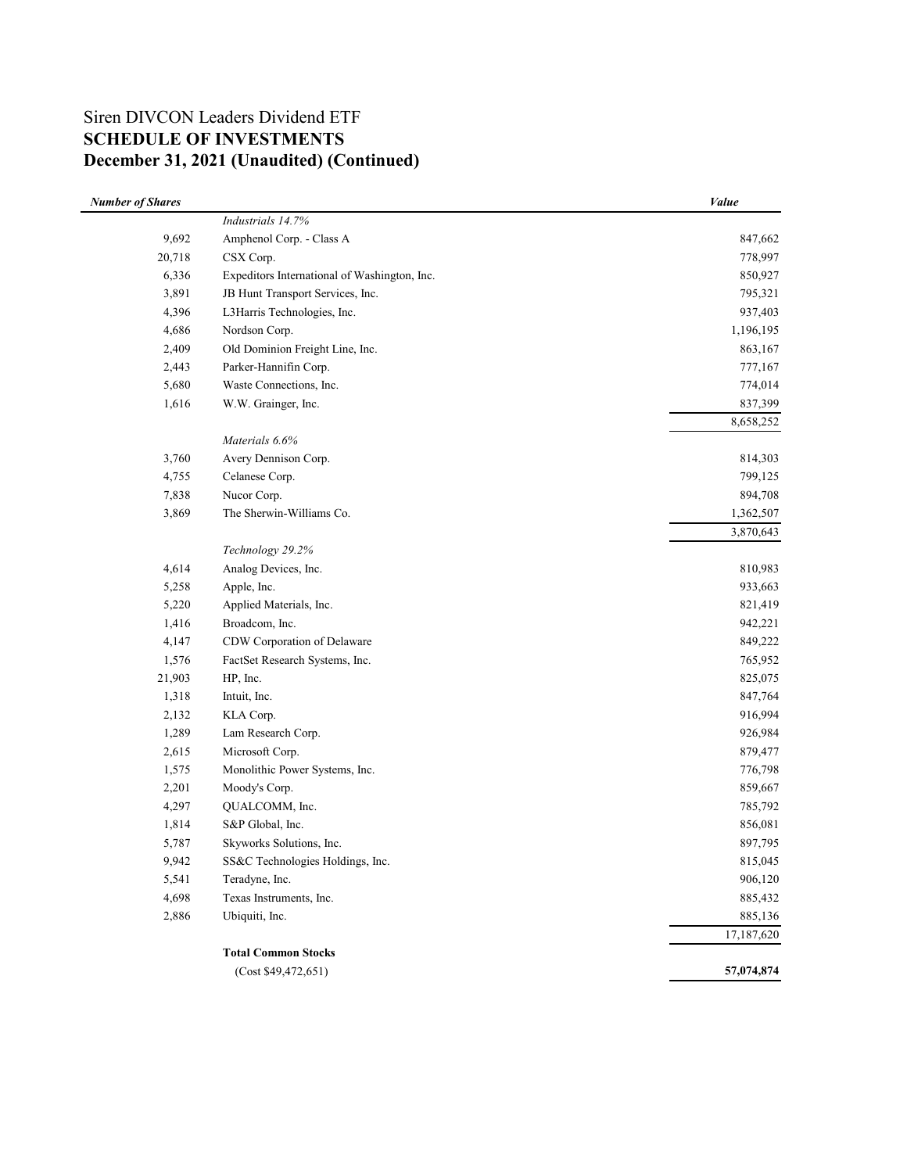## Siren DIVCON Leaders Dividend ETF **SCHEDULE OF INVESTMENTS December 31, 2021 (Unaudited) (Continued)**

| <b>Number of Shares</b> |                                              | Value      |
|-------------------------|----------------------------------------------|------------|
|                         | Industrials 14.7%                            |            |
| 9,692                   | Amphenol Corp. - Class A                     | 847,662    |
| 20,718                  | CSX Corp.                                    | 778,997    |
| 6,336                   | Expeditors International of Washington, Inc. | 850,927    |
| 3,891                   | JB Hunt Transport Services, Inc.             | 795,321    |
| 4,396                   | L3Harris Technologies, Inc.                  | 937,403    |
| 4,686                   | Nordson Corp.                                | 1,196,195  |
| 2,409                   | Old Dominion Freight Line, Inc.              | 863,167    |
| 2,443                   | Parker-Hannifin Corp.                        | 777,167    |
| 5,680                   | Waste Connections, Inc.                      | 774,014    |
| 1,616                   | W.W. Grainger, Inc.                          | 837,399    |
|                         |                                              | 8,658,252  |
|                         | Materials 6.6%                               |            |
| 3,760                   | Avery Dennison Corp.                         | 814,303    |
| 4,755                   | Celanese Corp.                               | 799,125    |
| 7,838                   | Nucor Corp.                                  | 894,708    |
| 3,869                   | The Sherwin-Williams Co.                     | 1,362,507  |
|                         |                                              | 3,870,643  |
|                         | Technology 29.2%                             |            |
| 4,614                   | Analog Devices, Inc.                         | 810,983    |
| 5,258                   | Apple, Inc.                                  | 933,663    |
| 5,220                   | Applied Materials, Inc.                      | 821,419    |
| 1,416                   | Broadcom, Inc.                               | 942,221    |
| 4,147                   | CDW Corporation of Delaware                  | 849,222    |
| 1,576                   | FactSet Research Systems, Inc.               | 765,952    |
| 21,903                  | HP, Inc.                                     | 825,075    |
| 1,318                   | Intuit, Inc.                                 | 847,764    |
| 2,132                   | KLA Corp.                                    | 916,994    |
| 1,289                   | Lam Research Corp.                           | 926,984    |
| 2,615                   | Microsoft Corp.                              | 879,477    |
| 1,575                   | Monolithic Power Systems, Inc.               | 776,798    |
| 2,201                   | Moody's Corp.                                | 859,667    |
| 4,297                   | QUALCOMM, Inc.                               | 785,792    |
| 1,814                   | S&P Global, Inc.                             | 856,081    |
| 5,787                   | Skyworks Solutions, Inc.                     | 897,795    |
| 9,942                   | SS&C Technologies Holdings, Inc.             | 815,045    |
| 5,541                   | Teradyne, Inc.                               | 906,120    |
| 4,698                   | Texas Instruments, Inc.                      | 885,432    |
| 2,886                   | Ubiquiti, Inc.                               | 885,136    |
|                         |                                              | 17,187,620 |
|                         | <b>Total Common Stocks</b>                   |            |
|                         | (Cost \$49,472,651)                          | 57,074,874 |
|                         |                                              |            |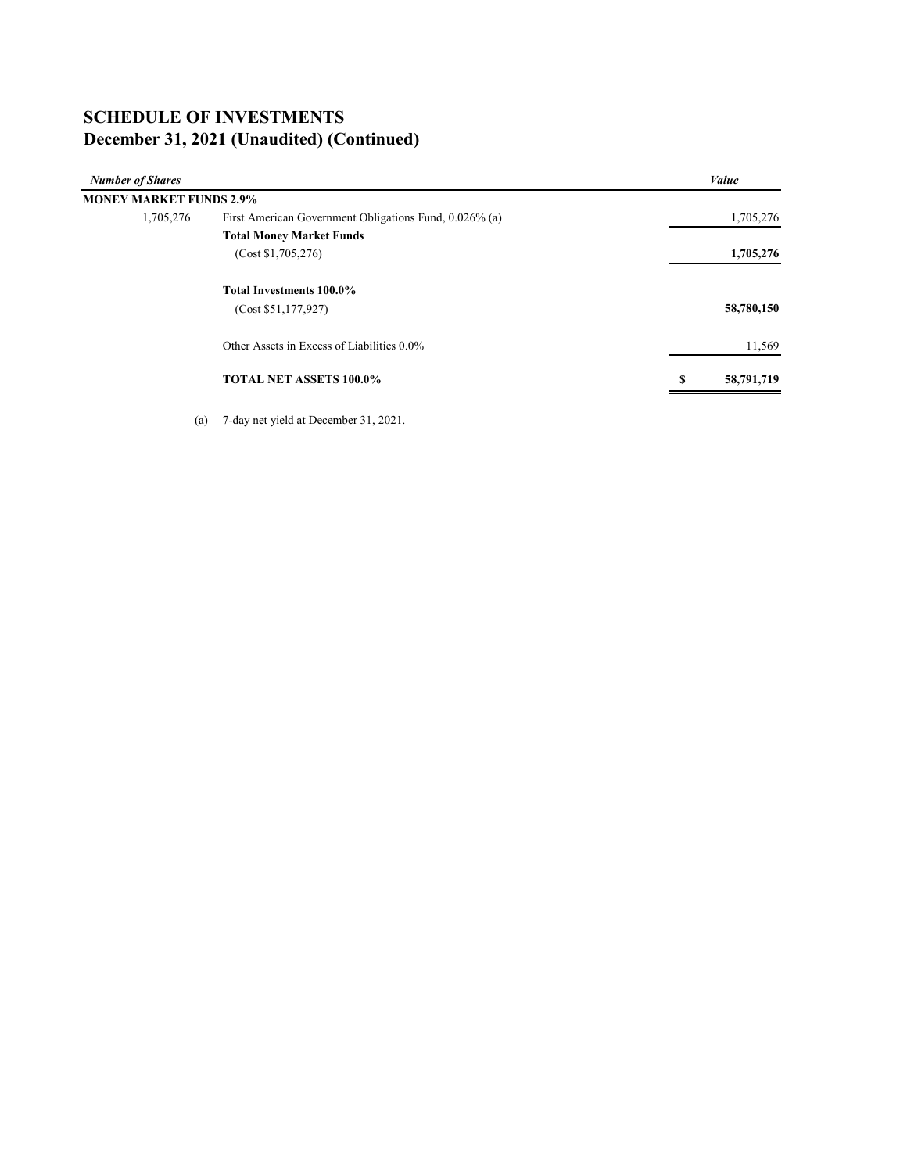# **SCHEDULE OF INVESTMENTS December 31, 2021 (Unaudited) (Continued)**

| <b>Number of Shares</b>        |                                                        | Value           |
|--------------------------------|--------------------------------------------------------|-----------------|
| <b>MONEY MARKET FUNDS 2.9%</b> |                                                        |                 |
| 1,705,276                      | First American Government Obligations Fund, 0.026% (a) | 1,705,276       |
|                                | <b>Total Money Market Funds</b>                        |                 |
|                                | (Cost \$1,705,276)                                     | 1,705,276       |
|                                | <b>Total Investments 100.0%</b>                        |                 |
|                                | (Cost \$51,177,927)                                    | 58,780,150      |
|                                | Other Assets in Excess of Liabilities 0.0%             | 11,569          |
|                                | <b>TOTAL NET ASSETS 100.0%</b>                         | 58,791,719<br>S |
|                                |                                                        |                 |

(a) 7-day net yield at December 31, 2021.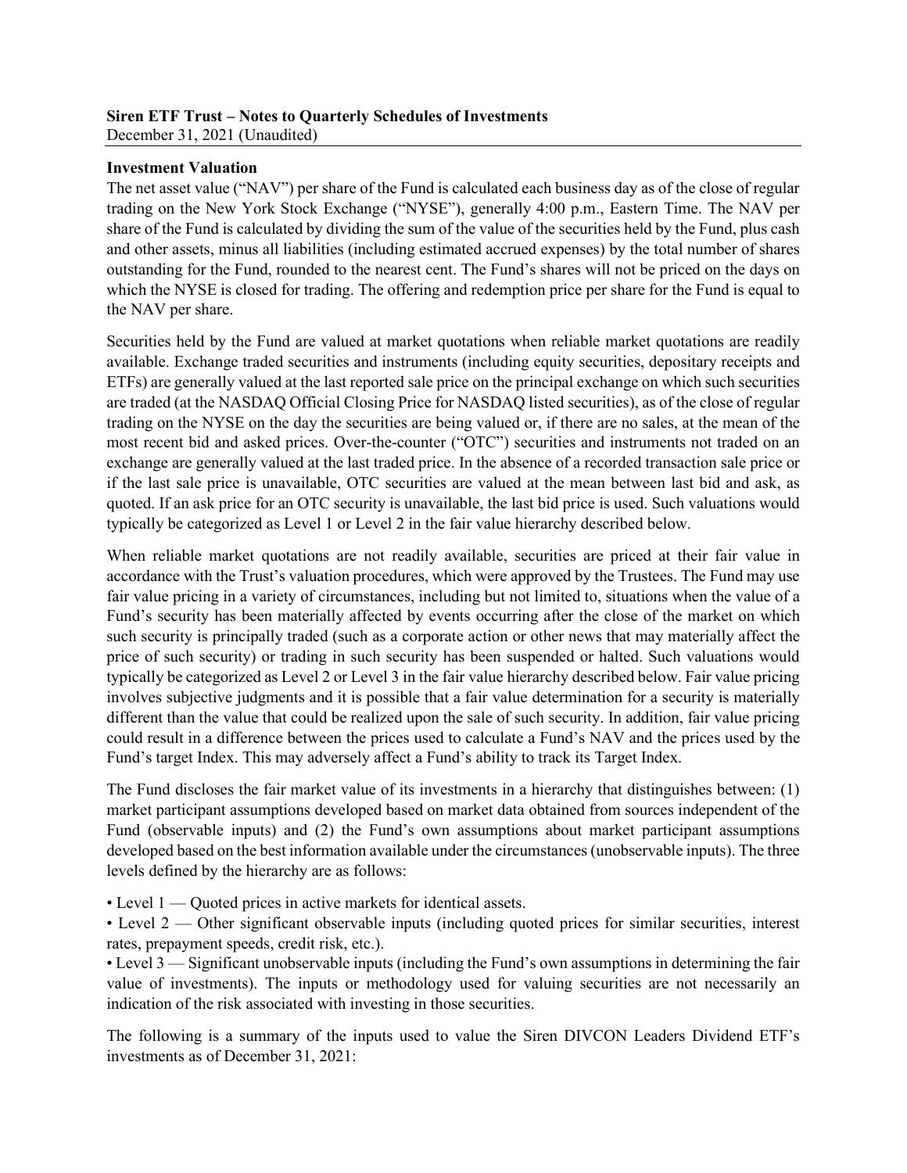#### **Siren ETF Trust – Notes to Quarterly Schedules of Investments** December 31, 2021 (Unaudited)

### **Investment Valuation**

The net asset value ("NAV") per share of the Fund is calculated each business day as of the close of regular trading on the New York Stock Exchange ("NYSE"), generally 4:00 p.m., Eastern Time. The NAV per share of the Fund is calculated by dividing the sum of the value of the securities held by the Fund, plus cash and other assets, minus all liabilities (including estimated accrued expenses) by the total number of shares outstanding for the Fund, rounded to the nearest cent. The Fund's shares will not be priced on the days on which the NYSE is closed for trading. The offering and redemption price per share for the Fund is equal to the NAV per share.

Securities held by the Fund are valued at market quotations when reliable market quotations are readily available. Exchange traded securities and instruments (including equity securities, depositary receipts and ETFs) are generally valued at the last reported sale price on the principal exchange on which such securities are traded (at the NASDAQ Official Closing Price for NASDAQ listed securities), as of the close of regular trading on the NYSE on the day the securities are being valued or, if there are no sales, at the mean of the most recent bid and asked prices. Over-the-counter ("OTC") securities and instruments not traded on an exchange are generally valued at the last traded price. In the absence of a recorded transaction sale price or if the last sale price is unavailable, OTC securities are valued at the mean between last bid and ask, as quoted. If an ask price for an OTC security is unavailable, the last bid price is used. Such valuations would typically be categorized as Level 1 or Level 2 in the fair value hierarchy described below.

When reliable market quotations are not readily available, securities are priced at their fair value in accordance with the Trust's valuation procedures, which were approved by the Trustees. The Fund may use fair value pricing in a variety of circumstances, including but not limited to, situations when the value of a Fund's security has been materially affected by events occurring after the close of the market on which such security is principally traded (such as a corporate action or other news that may materially affect the price of such security) or trading in such security has been suspended or halted. Such valuations would typically be categorized as Level 2 or Level 3 in the fair value hierarchy described below. Fair value pricing involves subjective judgments and it is possible that a fair value determination for a security is materially different than the value that could be realized upon the sale of such security. In addition, fair value pricing could result in a difference between the prices used to calculate a Fund's NAV and the prices used by the Fund's target Index. This may adversely affect a Fund's ability to track its Target Index.

The Fund discloses the fair market value of its investments in a hierarchy that distinguishes between: (1) market participant assumptions developed based on market data obtained from sources independent of the Fund (observable inputs) and (2) the Fund's own assumptions about market participant assumptions developed based on the best information available under the circumstances (unobservable inputs). The three levels defined by the hierarchy are as follows:

• Level 1 — Quoted prices in active markets for identical assets.

• Level 2 — Other significant observable inputs (including quoted prices for similar securities, interest rates, prepayment speeds, credit risk, etc.).

• Level 3 — Significant unobservable inputs (including the Fund's own assumptions in determining the fair value of investments). The inputs or methodology used for valuing securities are not necessarily an indication of the risk associated with investing in those securities.

The following is a summary of the inputs used to value the Siren DIVCON Leaders Dividend ETF's investments as of December 31, 2021: